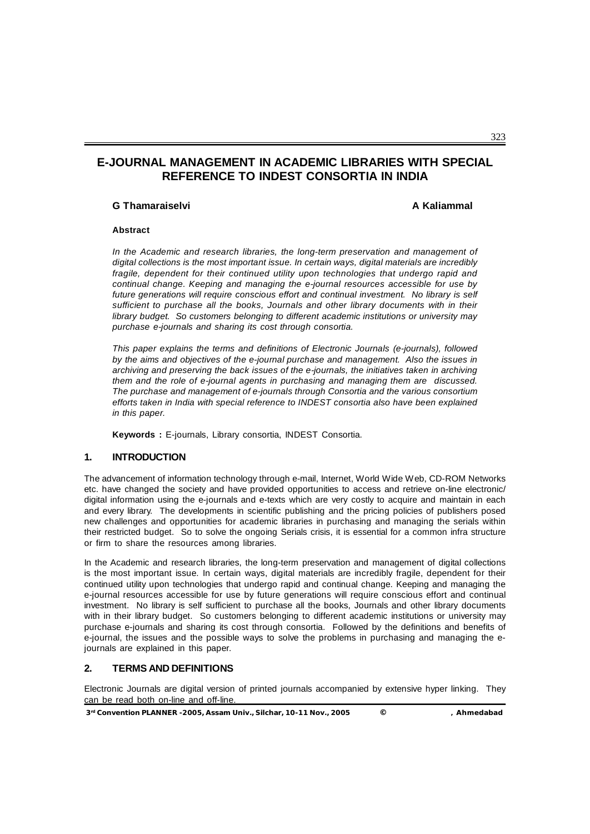# **E-JOURNAL MANAGEMENT IN ACADEMIC LIBRARIES WITH SPECIAL REFERENCE TO INDEST CONSORTIA IN INDIA**

#### **G Thamaraiselvi A Kaliammal**

#### **Abstract**

*In the Academic and research libraries, the long-term preservation and management of digital collections is the most important issue. In certain ways, digital materials are incredibly fragile, dependent for their continued utility upon technologies that undergo rapid and continual change. Keeping and managing the e-journal resources accessible for use by future generations will require conscious effort and continual investment. No library is self sufficient to purchase all the books, Journals and other library documents with in their library budget. So customers belonging to different academic institutions or university may purchase e-journals and sharing its cost through consortia.*

*This paper explains the terms and definitions of Electronic Journals (e-journals), followed by the aims and objectives of the e-journal purchase and management. Also the issues in archiving and preserving the back issues of the e-journals, the initiatives taken in archiving them and the role of e-journal agents in purchasing and managing them are discussed. The purchase and management of e-journals through Consortia and the various consortium efforts taken in India with special reference to INDEST consortia also have been explained in this paper.*

**Keywords :** E-journals, Library consortia, INDEST Consortia.

## **1. INTRODUCTION**

The advancement of information technology through e-mail, Internet, World Wide Web, CD-ROM Networks etc. have changed the society and have provided opportunities to access and retrieve on-line electronic/ digital information using the e-journals and e-texts which are very costly to acquire and maintain in each and every library. The developments in scientific publishing and the pricing policies of publishers posed new challenges and opportunities for academic libraries in purchasing and managing the serials within their restricted budget. So to solve the ongoing Serials crisis, it is essential for a common infra structure or firm to share the resources among libraries.

In the Academic and research libraries, the long-term preservation and management of digital collections is the most important issue. In certain ways, digital materials are incredibly fragile, dependent for their continued utility upon technologies that undergo rapid and continual change. Keeping and managing the e-journal resources accessible for use by future generations will require conscious effort and continual investment. No library is self sufficient to purchase all the books, Journals and other library documents with in their library budget. So customers belonging to different academic institutions or university may purchase e-journals and sharing its cost through consortia. Followed by the definitions and benefits of e-journal, the issues and the possible ways to solve the problems in purchasing and managing the ejournals are explained in this paper.

## **2. TERMS AND DEFINITIONS**

Electronic Journals are digital version of printed journals accompanied by extensive hyper linking. They can be read both on-line and off-line.

**3rd Convention PLANNER -2005, Assam Univ., Silchar, 10-11 Nov., 2005 © , Ahmedabad**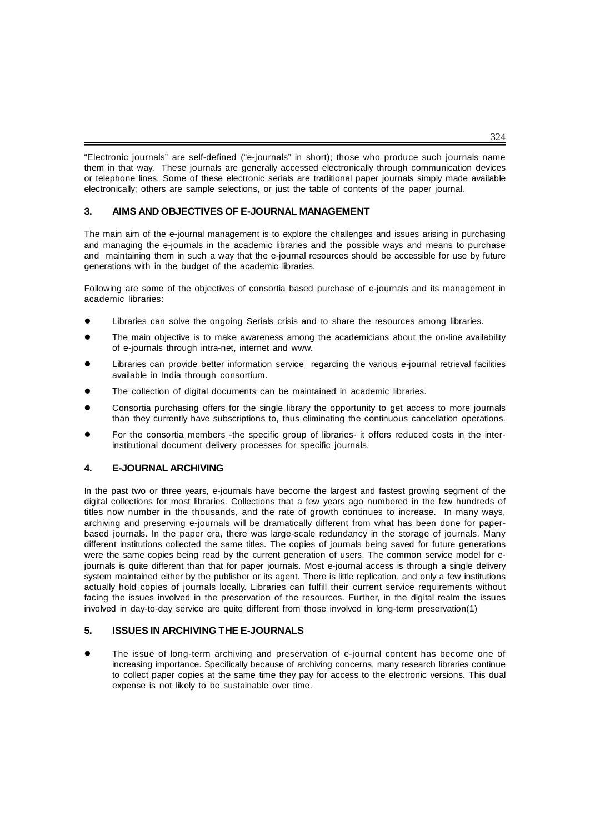"Electronic journals" are self-defined ("e-journals" in short); those who produce such journals name them in that way. These journals are generally accessed electronically through communication devices or telephone lines. Some of these electronic serials are traditional paper journals simply made available electronically; others are sample selections, or just the table of contents of the paper journal.

## **3. AIMS AND OBJECTIVES OF E-JOURNAL MANAGEMENT**

The main aim of the e-journal management is to explore the challenges and issues arising in purchasing and managing the e-journals in the academic libraries and the possible ways and means to purchase and maintaining them in such a way that the e-journal resources should be accessible for use by future generations with in the budget of the academic libraries.

Following are some of the objectives of consortia based purchase of e-journals and its management in academic libraries:

- Libraries can solve the ongoing Serials crisis and to share the resources among libraries.
- The main objective is to make awareness among the academicians about the on-line availability of e-journals through intra-net, internet and www.
- Libraries can provide better information service regarding the various e-journal retrieval facilities available in India through consortium.
- The collection of digital documents can be maintained in academic libraries.
- Consortia purchasing offers for the single library the opportunity to get access to more journals than they currently have subscriptions to, thus eliminating the continuous cancellation operations.
- For the consortia members -the specific group of libraries- it offers reduced costs in the interinstitutional document delivery processes for specific journals.

### **4. E-JOURNAL ARCHIVING**

In the past two or three years, e-journals have become the largest and fastest growing segment of the digital collections for most libraries. Collections that a few years ago numbered in the few hundreds of titles now number in the thousands, and the rate of growth continues to increase. In many ways, archiving and preserving e-journals will be dramatically different from what has been done for paperbased journals. In the paper era, there was large-scale redundancy in the storage of journals. Many different institutions collected the same titles. The copies of journals being saved for future generations were the same copies being read by the current generation of users. The common service model for ejournals is quite different than that for paper journals. Most e-journal access is through a single delivery system maintained either by the publisher or its agent. There is little replication, and only a few institutions actually hold copies of journals locally. Libraries can fulfill their current service requirements without facing the issues involved in the preservation of the resources. Further, in the digital realm the issues involved in day-to-day service are quite different from those involved in long-term preservation(1)

### **5. ISSUES IN ARCHIVING THE E-JOURNALS**

 The issue of long-term archiving and preservation of e-journal content has become one of increasing importance. Specifically because of archiving concerns, many research libraries continue to collect paper copies at the same time they pay for access to the electronic versions. This dual expense is not likely to be sustainable over time.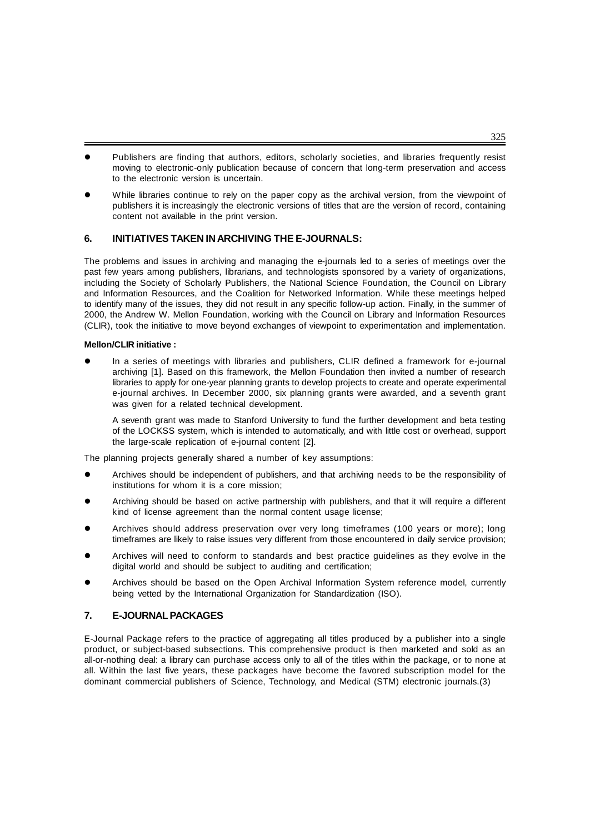- Publishers are finding that authors, editors, scholarly societies, and libraries frequently resist moving to electronic-only publication because of concern that long-term preservation and access to the electronic version is uncertain.
- While libraries continue to rely on the paper copy as the archival version, from the viewpoint of publishers it is increasingly the electronic versions of titles that are the version of record, containing content not available in the print version.

### **6. INITIATIVES TAKEN IN ARCHIVING THE E-JOURNALS:**

The problems and issues in archiving and managing the e-journals led to a series of meetings over the past few years among publishers, librarians, and technologists sponsored by a variety of organizations, including the Society of Scholarly Publishers, the National Science Foundation, the Council on Library and Information Resources, and the Coalition for Networked Information. While these meetings helped to identify many of the issues, they did not result in any specific follow-up action. Finally, in the summer of 2000, the Andrew W. Mellon Foundation, working with the Council on Library and Information Resources (CLIR), took the initiative to move beyond exchanges of viewpoint to experimentation and implementation.

#### **Mellon/CLIR initiative :**

 In a series of meetings with libraries and publishers, CLIR defined a framework for e-journal archiving [1]. Based on this framework, the Mellon Foundation then invited a number of research libraries to apply for one-year planning grants to develop projects to create and operate experimental e-journal archives. In December 2000, six planning grants were awarded, and a seventh grant was given for a related technical development.

A seventh grant was made to Stanford University to fund the further development and beta testing of the LOCKSS system, which is intended to automatically, and with little cost or overhead, support the large-scale replication of e-journal content [2].

The planning projects generally shared a number of key assumptions:

- Archives should be independent of publishers, and that archiving needs to be the responsibility of institutions for whom it is a core mission;
- Archiving should be based on active partnership with publishers, and that it will require a different kind of license agreement than the normal content usage license;
- Archives should address preservation over very long timeframes (100 years or more); long timeframes are likely to raise issues very different from those encountered in daily service provision;
- Archives will need to conform to standards and best practice guidelines as they evolve in the digital world and should be subject to auditing and certification;
- Archives should be based on the Open Archival Information System reference model, currently being vetted by the International Organization for Standardization (ISO).

## **7. E-JOURNAL PACKAGES**

E-Journal Package refers to the practice of aggregating all titles produced by a publisher into a single product, or subject-based subsections. This comprehensive product is then marketed and sold as an all-or-nothing deal: a library can purchase access only to all of the titles within the package, or to none at all. Within the last five years, these packages have become the favored subscription model for the dominant commercial publishers of Science, Technology, and Medical (STM) electronic journals.(3)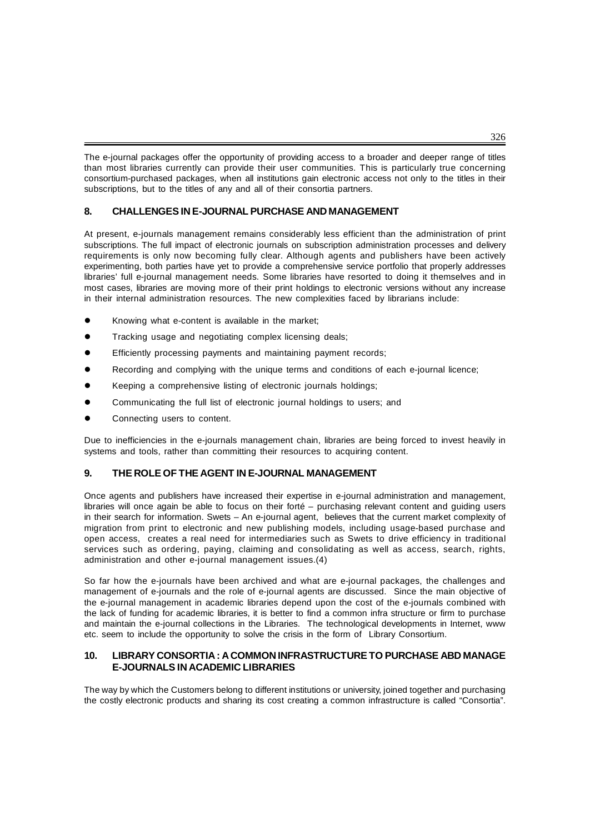The e-journal packages offer the opportunity of providing access to a broader and deeper range of titles than most libraries currently can provide their user communities. This is particularly true concerning consortium-purchased packages, when all institutions gain electronic access not only to the titles in their subscriptions, but to the titles of any and all of their consortia partners.

## **8. CHALLENGES IN E-JOURNAL PURCHASE AND MANAGEMENT**

At present, e-journals management remains considerably less efficient than the administration of print subscriptions. The full impact of electronic journals on subscription administration processes and delivery requirements is only now becoming fully clear. Although agents and publishers have been actively experimenting, both parties have yet to provide a comprehensive service portfolio that properly addresses libraries' full e-journal management needs. Some libraries have resorted to doing it themselves and in most cases, libraries are moving more of their print holdings to electronic versions without any increase in their internal administration resources. The new complexities faced by librarians include:

- Knowing what e-content is available in the market;
- Tracking usage and negotiating complex licensing deals;
- Efficiently processing payments and maintaining payment records;
- Recording and complying with the unique terms and conditions of each e-journal licence;
- Keeping a comprehensive listing of electronic journals holdings;
- Communicating the full list of electronic journal holdings to users; and
- Connecting users to content.

Due to inefficiencies in the e-journals management chain, libraries are being forced to invest heavily in systems and tools, rather than committing their resources to acquiring content.

### **9. THE ROLE OF THE AGENT IN E-JOURNAL MANAGEMENT**

Once agents and publishers have increased their expertise in e-journal administration and management, libraries will once again be able to focus on their forté – purchasing relevant content and guiding users in their search for information. Swets – An e-journal agent, believes that the current market complexity of migration from print to electronic and new publishing models, including usage-based purchase and open access, creates a real need for intermediaries such as Swets to drive efficiency in traditional services such as ordering, paying, claiming and consolidating as well as access, search, rights, administration and other e-journal management issues.(4)

So far how the e-journals have been archived and what are e-journal packages, the challenges and management of e-journals and the role of e-journal agents are discussed. Since the main objective of the e-journal management in academic libraries depend upon the cost of the e-journals combined with the lack of funding for academic libraries, it is better to find a common infra structure or firm to purchase and maintain the e-journal collections in the Libraries. The technological developments in Internet, www etc. seem to include the opportunity to solve the crisis in the form of Library Consortium.

### **10. LIBRARY CONSORTIA : A COMMON INFRASTRUCTURE TO PURCHASE ABD MANAGE E-JOURNALS IN ACADEMIC LIBRARIES**

The way by which the Customers belong to different institutions or university, joined together and purchasing the costly electronic products and sharing its cost creating a common infrastructure is called "Consortia".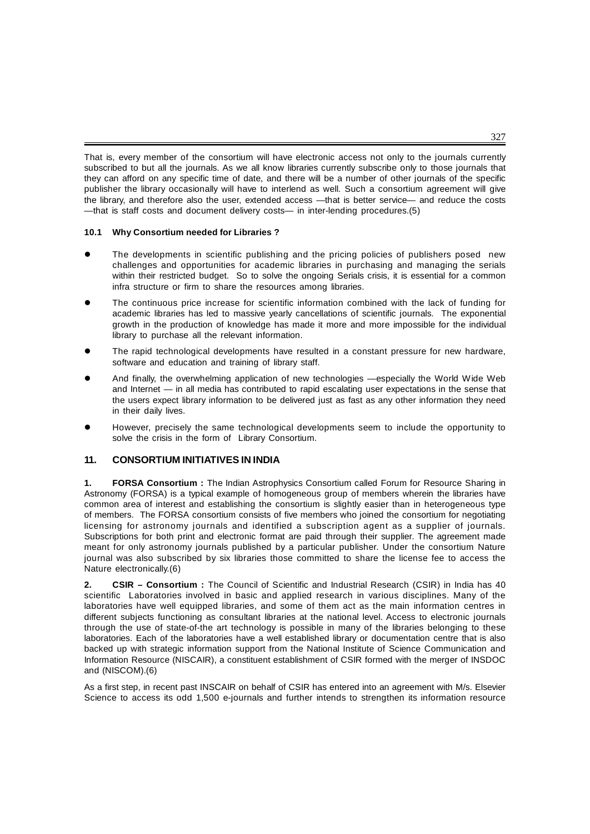That is, every member of the consortium will have electronic access not only to the journals currently subscribed to but all the journals. As we all know libraries currently subscribe only to those journals that they can afford on any specific time of date, and there will be a number of other journals of the specific publisher the library occasionally will have to interlend as well. Such a consortium agreement will give the library, and therefore also the user, extended access —that is better service— and reduce the costs —that is staff costs and document delivery costs— in inter-lending procedures.(5)

#### **10.1 Why Consortium needed for Libraries ?**

- The developments in scientific publishing and the pricing policies of publishers posed new challenges and opportunities for academic libraries in purchasing and managing the serials within their restricted budget. So to solve the ongoing Serials crisis, it is essential for a common infra structure or firm to share the resources among libraries.
- The continuous price increase for scientific information combined with the lack of funding for academic libraries has led to massive yearly cancellations of scientific journals. The exponential growth in the production of knowledge has made it more and more impossible for the individual library to purchase all the relevant information.
- The rapid technological developments have resulted in a constant pressure for new hardware, software and education and training of library staff.
- And finally, the overwhelming application of new technologies —especially the World Wide Web and Internet — in all media has contributed to rapid escalating user expectations in the sense that the users expect library information to be delivered just as fast as any other information they need in their daily lives.
- However, precisely the same technological developments seem to include the opportunity to solve the crisis in the form of Library Consortium.

## **11. CONSORTIUM INITIATIVES IN INDIA**

**1. FORSA Consortium :** The Indian Astrophysics Consortium called Forum for Resource Sharing in Astronomy (FORSA) is a typical example of homogeneous group of members wherein the libraries have common area of interest and establishing the consortium is slightly easier than in heterogeneous type of members. The FORSA consortium consists of five members who joined the consortium for negotiating licensing for astronomy journals and identified a subscription agent as a supplier of journals. Subscriptions for both print and electronic format are paid through their supplier. The agreement made meant for only astronomy journals published by a particular publisher. Under the consortium Nature journal was also subscribed by six libraries those committed to share the license fee to access the Nature electronically.(6)

**2. CSIR – Consortium :** The Council of Scientific and Industrial Research (CSIR) in India has 40 scientific Laboratories involved in basic and applied research in various disciplines. Many of the laboratories have well equipped libraries, and some of them act as the main information centres in different subjects functioning as consultant libraries at the national level. Access to electronic journals through the use of state-of-the art technology is possible in many of the libraries belonging to these laboratories. Each of the laboratories have a well established library or documentation centre that is also backed up with strategic information support from the National Institute of Science Communication and Information Resource (NISCAIR), a constituent establishment of CSIR formed with the merger of INSDOC and (NISCOM).(6)

As a first step, in recent past INSCAIR on behalf of CSIR has entered into an agreement with M/s. Elsevier Science to access its odd 1,500 e-journals and further intends to strengthen its information resource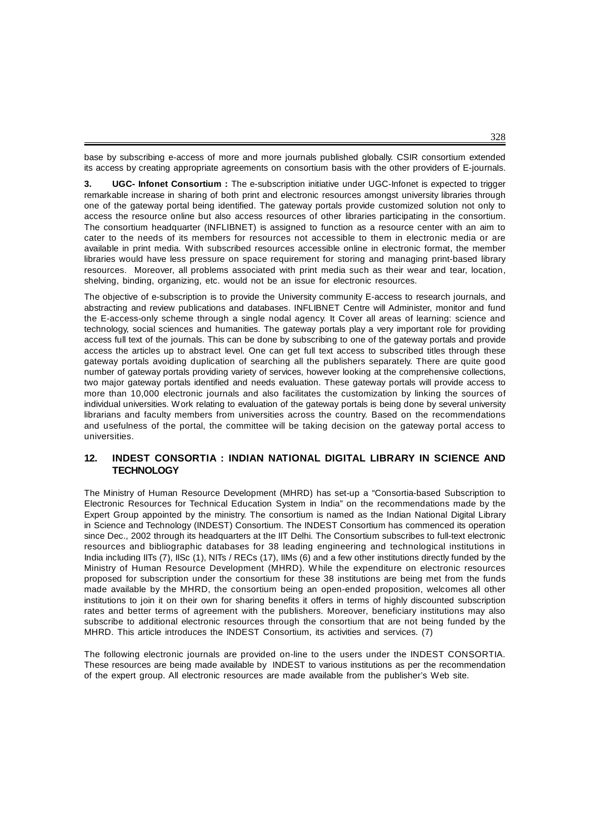base by subscribing e-access of more and more journals published globally. CSIR consortium extended its access by creating appropriate agreements on consortium basis with the other providers of E-journals.

**3. UGC- Infonet Consortium :** The e-subscription initiative under UGC-Infonet is expected to trigger remarkable increase in sharing of both print and electronic resources amongst university libraries through one of the gateway portal being identified. The gateway portals provide customized solution not only to access the resource online but also access resources of other libraries participating in the consortium. The consortium headquarter (INFLIBNET) is assigned to function as a resource center with an aim to cater to the needs of its members for resources not accessible to them in electronic media or are available in print media. With subscribed resources accessible online in electronic format, the member libraries would have less pressure on space requirement for storing and managing print-based library resources. Moreover, all problems associated with print media such as their wear and tear, location, shelving, binding, organizing, etc. would not be an issue for electronic resources.

The objective of e-subscription is to provide the University community E-access to research journals, and abstracting and review publications and databases. INFLIBNET Centre will Administer, monitor and fund the E-access-only scheme through a single nodal agency. It Cover all areas of learning: science and technology, social sciences and humanities. The gateway portals play a very important role for providing access full text of the journals. This can be done by subscribing to one of the gateway portals and provide access the articles up to abstract level. One can get full text access to subscribed titles through these gateway portals avoiding duplication of searching all the publishers separately. There are quite good number of gateway portals providing variety of services, however looking at the comprehensive collections, two major gateway portals identified and needs evaluation. These gateway portals will provide access to more than 10,000 electronic journals and also facilitates the customization by linking the sources of individual universities. Work relating to evaluation of the gateway portals is being done by several university librarians and faculty members from universities across the country. Based on the recommendations and usefulness of the portal, the committee will be taking decision on the gateway portal access to universities.

### **12. INDEST CONSORTIA : INDIAN NATIONAL DIGITAL LIBRARY IN SCIENCE AND TECHNOLOGY**

The Ministry of Human Resource Development (MHRD) has set-up a "Consortia-based Subscription to Electronic Resources for Technical Education System in India" on the recommendations made by the Expert Group appointed by the ministry. The consortium is named as the Indian National Digital Library in Science and Technology (INDEST) Consortium. The INDEST Consortium has commenced its operation since Dec., 2002 through its headquarters at the IIT Delhi. The Consortium subscribes to full-text electronic resources and bibliographic databases for 38 leading engineering and technological institutions in India including IITs (7), IISc (1), NITs / RECs (17), IIMs (6) and a few other institutions directly funded by the Ministry of Human Resource Development (MHRD). While the expenditure on electronic resources proposed for subscription under the consortium for these 38 institutions are being met from the funds made available by the MHRD, the consortium being an open-ended proposition, welcomes all other institutions to join it on their own for sharing benefits it offers in terms of highly discounted subscription rates and better terms of agreement with the publishers. Moreover, beneficiary institutions may also subscribe to additional electronic resources through the consortium that are not being funded by the MHRD. This article introduces the INDEST Consortium, its activities and services. (7)

The following electronic journals are provided on-line to the users under the INDEST CONSORTIA. These resources are being made available by INDEST to various institutions as per the recommendation of the expert group. All electronic resources are made available from the publisher's Web site.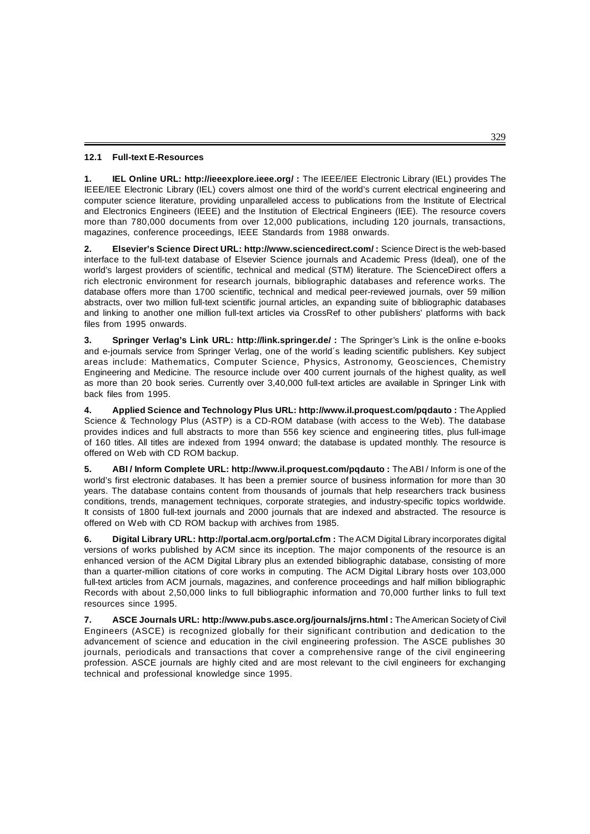#### **12.1 Full-text E-Resources**

**1. IEL Online URL: http://ieeexplore.ieee.org/ :** The IEEE/IEE Electronic Library (IEL) provides The IEEE/IEE Electronic Library (IEL) covers almost one third of the world's current electrical engineering and computer science literature, providing unparalleled access to publications from the Institute of Electrical and Electronics Engineers (IEEE) and the Institution of Electrical Engineers (IEE). The resource covers more than 780,000 documents from over 12,000 publications, including 120 journals, transactions, magazines, conference proceedings, IEEE Standards from 1988 onwards.

**2. Elsevier's Science Direct URL: http://www.sciencedirect.com/ :** Science Direct is the web-based interface to the full-text database of Elsevier Science journals and Academic Press (Ideal), one of the world's largest providers of scientific, technical and medical (STM) literature. The ScienceDirect offers a rich electronic environment for research journals, bibliographic databases and reference works. The database offers more than 1700 scientific, technical and medical peer-reviewed journals, over 59 million abstracts, over two million full-text scientific journal articles, an expanding suite of bibliographic databases and linking to another one million full-text articles via CrossRef to other publishers' platforms with back files from 1995 onwards.

**3. Springer Verlag's Link URL: http://link.springer.de/ :** The Springer's Link is the online e-books and e-journals service from Springer Verlag, one of the world´s leading scientific publishers. Key subject areas include: Mathematics, Computer Science, Physics, Astronomy, Geosciences, Chemistry Engineering and Medicine. The resource include over 400 current journals of the highest quality, as well as more than 20 book series. Currently over 3,40,000 full-text articles are available in Springer Link with back files from 1995.

**4. Applied Science and Technology Plus URL: http://www.il.proquest.com/pqdauto :** The Applied Science & Technology Plus (ASTP) is a CD-ROM database (with access to the Web). The database provides indices and full abstracts to more than 556 key science and engineering titles, plus full-image of 160 titles. All titles are indexed from 1994 onward; the database is updated monthly. The resource is offered on Web with CD ROM backup.

**5. ABI / Inform Complete URL: http://www.il.proquest.com/pqdauto :** The ABI / Inform is one of the world's first electronic databases. It has been a premier source of business information for more than 30 years. The database contains content from thousands of journals that help researchers track business conditions, trends, management techniques, corporate strategies, and industry-specific topics worldwide. It consists of 1800 full-text journals and 2000 journals that are indexed and abstracted. The resource is offered on Web with CD ROM backup with archives from 1985.

**6. Digital Library URL: http://portal.acm.org/portal.cfm :** The ACM Digital Library incorporates digital versions of works published by ACM since its inception. The major components of the resource is an enhanced version of the ACM Digital Library plus an extended bibliographic database, consisting of more than a quarter-million citations of core works in computing. The ACM Digital Library hosts over 103,000 full-text articles from ACM journals, magazines, and conference proceedings and half million bibliographic Records with about 2,50,000 links to full bibliographic information and 70,000 further links to full text resources since 1995.

**7. ASCE Journals URL: http://www.pubs.asce.org/journals/jrns.html :** The American Society of Civil Engineers (ASCE) is recognized globally for their significant contribution and dedication to the advancement of science and education in the civil engineering profession. The ASCE publishes 30 journals, periodicals and transactions that cover a comprehensive range of the civil engineering profession. ASCE journals are highly cited and are most relevant to the civil engineers for exchanging technical and professional knowledge since 1995.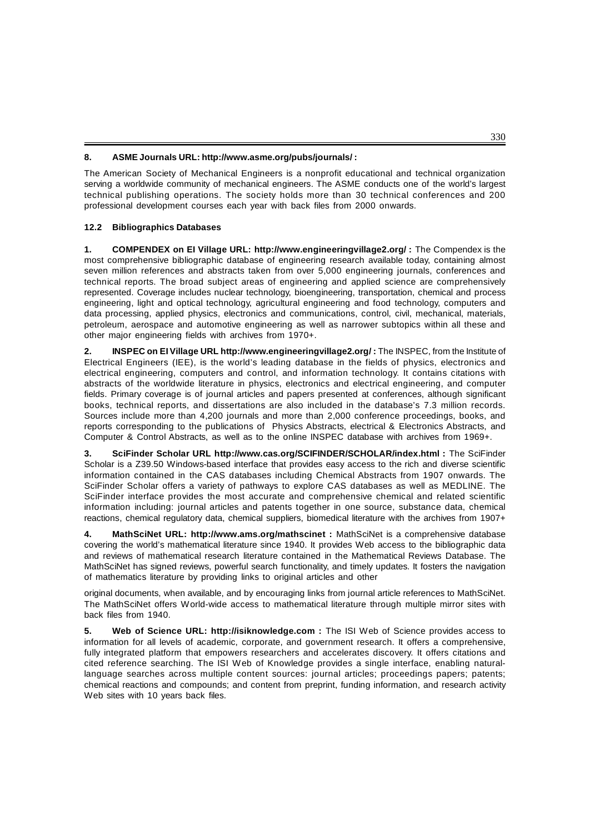#### **8. ASME Journals URL: http://www.asme.org/pubs/journals/ :**

The American Society of Mechanical Engineers is a nonprofit educational and technical organization serving a worldwide community of mechanical engineers. The ASME conducts one of the world's largest technical publishing operations. The society holds more than 30 technical conferences and 200 professional development courses each year with back files from 2000 onwards.

### **12.2 Bibliographics Databases**

**1. COMPENDEX on EI Village URL: http://www.engineeringvillage2.org/ :** The Compendex is the most comprehensive bibliographic database of engineering research available today, containing almost seven million references and abstracts taken from over 5,000 engineering journals, conferences and technical reports. The broad subject areas of engineering and applied science are comprehensively represented. Coverage includes nuclear technology, bioengineering, transportation, chemical and process engineering, light and optical technology, agricultural engineering and food technology, computers and data processing, applied physics, electronics and communications, control, civil, mechanical, materials, petroleum, aerospace and automotive engineering as well as narrower subtopics within all these and other major engineering fields with archives from 1970+.

**2. INSPEC on EI Village URL http://www.engineeringvillage2.org/ :** The INSPEC, from the Institute of Electrical Engineers (IEE), is the world's leading database in the fields of physics, electronics and electrical engineering, computers and control, and information technology. It contains citations with abstracts of the worldwide literature in physics, electronics and electrical engineering, and computer fields. Primary coverage is of journal articles and papers presented at conferences, although significant books, technical reports, and dissertations are also included in the database's 7.3 million records. Sources include more than 4,200 journals and more than 2,000 conference proceedings, books, and reports corresponding to the publications of Physics Abstracts, electrical & Electronics Abstracts, and Computer & Control Abstracts, as well as to the online INSPEC database with archives from 1969+.

**3. SciFinder Scholar URL http://www.cas.org/SCIFINDER/SCHOLAR/index.html :** The SciFinder Scholar is a Z39.50 Windows-based interface that provides easy access to the rich and diverse scientific information contained in the CAS databases including Chemical Abstracts from 1907 onwards. The SciFinder Scholar offers a variety of pathways to explore CAS databases as well as MEDLINE. The SciFinder interface provides the most accurate and comprehensive chemical and related scientific information including: journal articles and patents together in one source, substance data, chemical reactions, chemical regulatory data, chemical suppliers, biomedical literature with the archives from 1907+

**4. MathSciNet URL: http://www.ams.org/mathscinet :** MathSciNet is a comprehensive database covering the world's mathematical literature since 1940. It provides Web access to the bibliographic data and reviews of mathematical research literature contained in the Mathematical Reviews Database. The MathSciNet has signed reviews, powerful search functionality, and timely updates. It fosters the navigation of mathematics literature by providing links to original articles and other

original documents, when available, and by encouraging links from journal article references to MathSciNet. The MathSciNet offers World-wide access to mathematical literature through multiple mirror sites with back files from 1940.

**5. Web of Science URL: http://isiknowledge.com :** The ISI Web of Science provides access to information for all levels of academic, corporate, and government research. It offers a comprehensive, fully integrated platform that empowers researchers and accelerates discovery. It offers citations and cited reference searching. The ISI Web of Knowledge provides a single interface, enabling naturallanguage searches across multiple content sources: journal articles; proceedings papers; patents; chemical reactions and compounds; and content from preprint, funding information, and research activity Web sites with 10 years back files.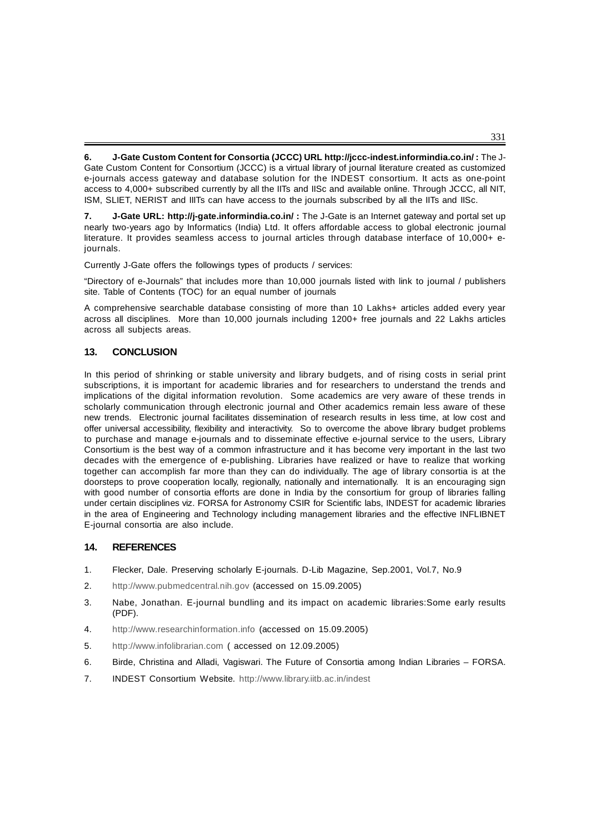**6. J-Gate Custom Content for Consortia (JCCC) URL http://jccc-indest.informindia.co.in/ :** The J-Gate Custom Content for Consortium (JCCC) is a virtual library of journal literature created as customized e-journals access gateway and database solution for the INDEST consortium. It acts as one-point access to 4,000+ subscribed currently by all the IITs and IISc and available online. Through JCCC, all NIT, ISM, SLIET, NERIST and IIITs can have access to the journals subscribed by all the IITs and IISc.

**7. J-Gate URL: http://j-gate.informindia.co.in/ :** The J-Gate is an Internet gateway and portal set up nearly two-years ago by Informatics (India) Ltd. It offers affordable access to global electronic journal literature. It provides seamless access to journal articles through database interface of 10,000+ ejournals.

Currently J-Gate offers the followings types of products / services:

"Directory of e-Journals" that includes more than 10,000 journals listed with link to journal / publishers site. Table of Contents (TOC) for an equal number of journals

A comprehensive searchable database consisting of more than 10 Lakhs+ articles added every year across all disciplines. More than 10,000 journals including 1200+ free journals and 22 Lakhs articles across all subjects areas.

## **13. CONCLUSION**

In this period of shrinking or stable university and library budgets, and of rising costs in serial print subscriptions, it is important for academic libraries and for researchers to understand the trends and implications of the digital information revolution. Some academics are very aware of these trends in scholarly communication through electronic journal and Other academics remain less aware of these new trends. Electronic journal facilitates dissemination of research results in less time, at low cost and offer universal accessibility, flexibility and interactivity. So to overcome the above library budget problems to purchase and manage e-journals and to disseminate effective e-journal service to the users, Library Consortium is the best way of a common infrastructure and it has become very important in the last two decades with the emergence of e-publishing. Libraries have realized or have to realize that working together can accomplish far more than they can do individually. The age of library consortia is at the doorsteps to prove cooperation locally, regionally, nationally and internationally. It is an encouraging sign with good number of consortia efforts are done in India by the consortium for group of libraries falling under certain disciplines viz. FORSA for Astronomy CSIR for Scientific labs, INDEST for academic libraries in the area of Engineering and Technology including management libraries and the effective INFLIBNET E-journal consortia are also include.

### **14. REFERENCES**

- 1. Flecker, Dale. Preserving scholarly E-journals. D-Lib Magazine, Sep.2001, Vol.7, No.9
- 2. http://www.pubmedcentral.nih.gov (accessed on 15.09.2005)
- 3. Nabe, Jonathan. E-journal bundling and its impact on academic libraries:Some early results (PDF).
- 4. http://www.researchinformation.info (accessed on 15.09.2005)
- 5. http://www.infolibrarian.com ( accessed on 12.09.2005)
- 6. Birde, Christina and Alladi, Vagiswari. The Future of Consortia among Indian Libraries FORSA.
- 7. INDEST Consortium Website. http://www.library.iitb.ac.in/indest